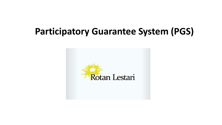### **Participatory Guarantee System (PGS)**

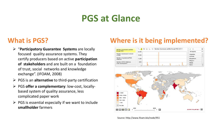### **PGS at Glance**

- "**Participatory Guarantee Systems** are locally focused quality assurance systems. They certify producers based on active **participation of stakeholders** and are built on a foundation of trust, social networks and knowledge exchange". (IFOAM, 2008)
- PGS is an **alternative** to third-party certification
- PGS **offer a complementary**: low-cost, locallybased system of quality assurance, less complicated paper work
- $\triangleright$  PGS is essential especially if we want to include **smallholder** farmers

### **What is PGS? Where is it being implemented?**

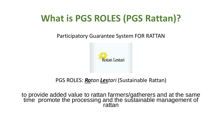# **What is PGS ROLES (PGS Rattan)?**

Participatory Guarantee System FOR RATTAN



### PGS ROLES: *Rotan Lestari* (Sustainable Rattan)

to provide added value to rattan farmers/gatherers and at the same time promote the processing and the sustainable management of rattan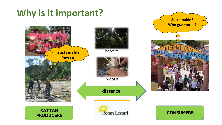### **Why is it important?**



**Sustainable? Who guarantee?**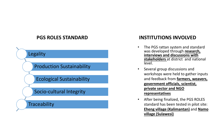#### **PGS ROLES STANDARD**

**Legality** Production Sustainability

Ecological Sustainability

#### Socio -cultural Integrity

**Traceability** 

#### **INSTITUTIONS INVOLVED**

- The PGS rattan system and standard was developed through **research, interviews and discussions with stakeholders** at district and national level.
- Several group discussions and workshops were held to gather inputs and feedback from **farmers, weavers, government officials, scientist, private sector and NGO representatives**
- After being finalized, the PGS ROLES standard has been tested in pilot site: **Eheng village (Kalimantan)** and **Namo village (Sulawesi)**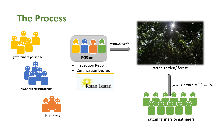# **The Process**



**government personnel**



**NGO representatives**





- > Inspection Report
- 





Production Report<br>
> Certification Decision: rattan garden/ forest



**rattan farmers or gatherers**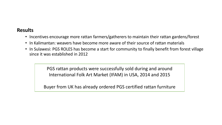#### **Results**

- Incentives encourage more rattan farmers/gatherers to maintain their rattan gardens/forest
- In Kalimantan: weavers have become more aware of their source of rattan materials
- In Sulawesi: PGS ROLES has become a start for community to finally benefit from forest village since it was established in 2012

PGS rattan products were successfully sold during and around International Folk Art Market (IFAM) in USA, 2014 and 2015

Buyer from UK has already ordered PGS certified rattan furniture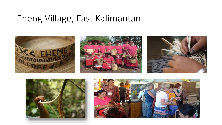### Eheng Village, East Kalimantan